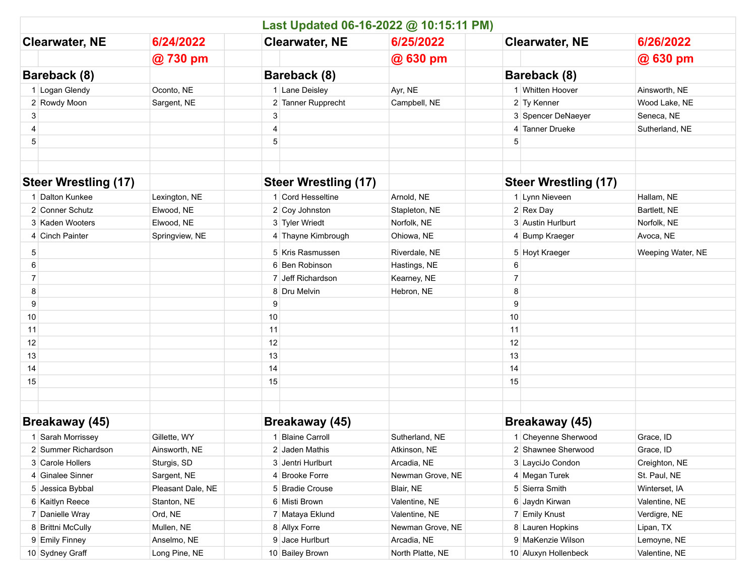|                             |                   | Last Updated 06-16-2022 @ 10:15:11 PM) |                  |                             |                   |
|-----------------------------|-------------------|----------------------------------------|------------------|-----------------------------|-------------------|
| <b>Clearwater, NE</b>       | 6/24/2022         | <b>Clearwater, NE</b>                  | 6/25/2022        | <b>Clearwater, NE</b>       | 6/26/2022         |
|                             | @730 pm           |                                        | @ 630 pm         |                             | @ 630 pm          |
| Bareback (8)                |                   | Bareback (8)                           |                  | Bareback (8)                |                   |
| 1 Logan Glendy              | Oconto, NE        | 1 Lane Deisley                         | Ayr, NE          | 1 Whitten Hoover            | Ainsworth, NE     |
| 2 Rowdy Moon                | Sargent, NE       | 2 Tanner Rupprecht                     | Campbell, NE     | 2 Ty Kenner                 | Wood Lake, NE     |
| 3                           |                   | 3                                      |                  | 3 Spencer DeNaeyer          | Seneca, NE        |
| 4                           |                   | 4                                      |                  | 4 Tanner Drueke             | Sutherland, NE    |
| 5                           |                   | 5                                      |                  | 5                           |                   |
|                             |                   |                                        |                  |                             |                   |
| <b>Steer Wrestling (17)</b> |                   | <b>Steer Wrestling (17)</b>            |                  | <b>Steer Wrestling (17)</b> |                   |
| 1 Dalton Kunkee             | Lexington, NE     | 1 Cord Hesseltine                      | Arnold, NE       | 1 Lynn Nieveen              | Hallam, NE        |
| 2 Conner Schutz             | Elwood, NE        | 2 Coy Johnston                         | Stapleton, NE    | 2 Rex Day                   | Bartlett, NE      |
| 3 Kaden Wooters             | Elwood, NE        | 3 Tyler Wriedt                         | Norfolk, NE      | 3 Austin Hurlburt           | Norfolk, NE       |
| 4 Cinch Painter             | Springview, NE    | 4 Thayne Kimbrough                     | Ohiowa, NE       | 4 Bump Kraeger              | Avoca, NE         |
| 5                           |                   | 5 Kris Rasmussen                       | Riverdale, NE    | 5 Hoyt Kraeger              | Weeping Water, NE |
| 6                           |                   | 6 Ben Robinson                         | Hastings, NE     | 6                           |                   |
| 7                           |                   | 7 Jeff Richardson                      | Kearney, NE      | 7                           |                   |
| 8                           |                   | 8 Dru Melvin                           | Hebron, NE       | 8                           |                   |
| 9                           |                   | 9                                      |                  | 9                           |                   |
| 10                          |                   | 10                                     |                  | 10                          |                   |
| 11                          |                   | 11                                     |                  | 11                          |                   |
| 12                          |                   | 12                                     |                  | 12                          |                   |
| 13                          |                   | 13                                     |                  | 13                          |                   |
| 14                          |                   | 14                                     |                  | 14                          |                   |
| 15                          |                   | 15                                     |                  | 15                          |                   |
|                             |                   |                                        |                  |                             |                   |
| Breakaway (45)              |                   | Breakaway (45)                         |                  | Breakaway (45)              |                   |
| 1 Sarah Morrissey           | Gillette, WY      | 1 Blaine Carroll                       | Sutherland, NE   | 1 Cheyenne Sherwood         | Grace, ID         |
| 2 Summer Richardson         | Ainsworth, NE     | 2 Jaden Mathis                         | Atkinson, NE     | 2 Shawnee Sherwood          | Grace, ID         |
| 3 Carole Hollers            | Sturgis, SD       | 3 Jentri Hurlburt                      | Arcadia, NE      | 3 LayciJo Condon            | Creighton, NE     |
| 4 Ginalee Sinner            | Sargent, NE       | 4 Brooke Forre                         | Newman Grove, NE | 4 Megan Turek               | St. Paul, NE      |
| 5 Jessica Bybbal            | Pleasant Dale, NE | 5 Bradie Crouse                        | Blair, NE        | 5 Sierra Smith              | Winterset, IA     |
| 6 Kaitlyn Reece             | Stanton, NE       | 6 Misti Brown                          | Valentine, NE    | 6 Jaydn Kirwan              | Valentine, NE     |
| 7 Danielle Wray             | Ord, NE           | 7 Mataya Eklund                        | Valentine, NE    | 7 Emily Knust               | Verdigre, NE      |
| 8 Brittni McCully           | Mullen, NE        | 8 Allyx Forre                          | Newman Grove, NE | 8 Lauren Hopkins            | Lipan, TX         |
| 9 Emily Finney              | Anselmo, NE       | 9 Jace Hurlburt                        | Arcadia, NE      | 9 MaKenzie Wilson           | Lemoyne, NE       |
| 10 Sydney Graff             | Long Pine, NE     | 10 Bailey Brown                        | North Platte, NE | 10 Aluxyn Hollenbeck        | Valentine, NE     |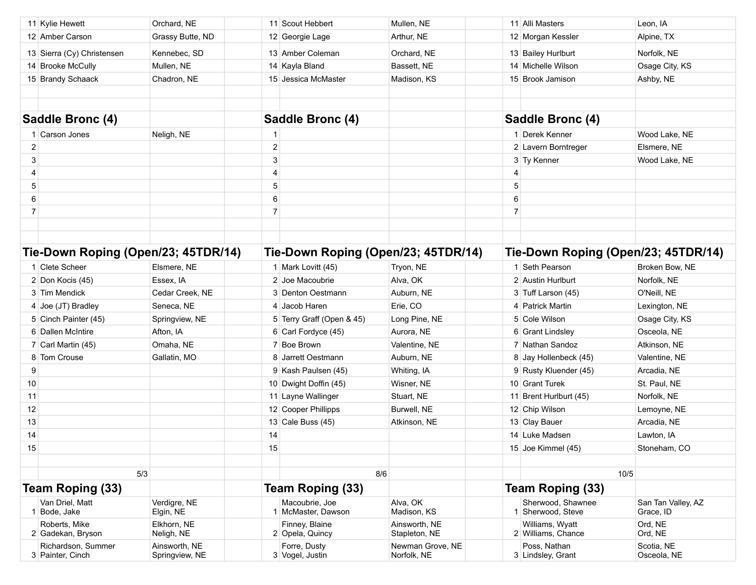|                                     | 11 Kylie Hewett                        | Orchard, NE                     |                | 11 Scout Hebbert                     | Mullen, NE                      |                | 11 Alli Masters                        | Leon, IA                        |  |
|-------------------------------------|----------------------------------------|---------------------------------|----------------|--------------------------------------|---------------------------------|----------------|----------------------------------------|---------------------------------|--|
|                                     | 12 Amber Carson                        | Grassy Butte, ND                |                | 12 Georgie Lage                      | Arthur, NE                      |                | 12 Morgan Kessler                      | Alpine, TX                      |  |
|                                     | 13 Sierra (Cy) Christensen             | Kennebec, SD                    |                | 13 Amber Coleman                     | Orchard, NE                     |                | 13 Bailey Hurlburt                     | Norfolk, NE                     |  |
|                                     | 14 Brooke McCully                      | Mullen, NE                      |                | 14 Kayla Bland                       | Bassett, NE                     |                | 14 Michelle Wilson                     | Osage City, KS                  |  |
|                                     | 15 Brandy Schaack                      | Chadron, NE                     |                | 15 Jessica McMaster                  | Madison, KS                     |                | 15 Brook Jamison                       | Ashby, NE                       |  |
|                                     |                                        |                                 |                |                                      |                                 |                |                                        |                                 |  |
|                                     |                                        |                                 |                |                                      |                                 |                |                                        |                                 |  |
|                                     | Saddle Bronc (4)                       |                                 |                | Saddle Bronc (4)                     |                                 |                | Saddle Bronc (4)                       |                                 |  |
|                                     | 1 Carson Jones                         | Neligh, NE                      | $\mathbf{1}$   |                                      |                                 |                | 1 Derek Kenner                         | Wood Lake, NE                   |  |
| $\overline{2}$                      |                                        |                                 | $\mathbf 2$    |                                      |                                 |                | 2 Lavern Borntreger                    | Elsmere, NE                     |  |
| 3                                   |                                        |                                 | 3              |                                      |                                 |                | 3 Ty Kenner                            | Wood Lake, NE                   |  |
| 4                                   |                                        |                                 | $\overline{4}$ |                                      |                                 | 4              |                                        |                                 |  |
| 5                                   |                                        |                                 | 5              |                                      |                                 | 5              |                                        |                                 |  |
| 6                                   |                                        |                                 | 6              |                                      |                                 | 6              |                                        |                                 |  |
| $\overline{7}$                      |                                        |                                 | $\overline{7}$ |                                      |                                 | $\overline{7}$ |                                        |                                 |  |
|                                     |                                        |                                 |                |                                      |                                 |                |                                        |                                 |  |
|                                     |                                        |                                 |                |                                      |                                 |                |                                        |                                 |  |
| Tie-Down Roping (Open/23; 45TDR/14) |                                        |                                 |                | Tie-Down Roping (Open/23; 45TDR/14)  |                                 |                | Tie-Down Roping (Open/23; 45TDR/14)    |                                 |  |
|                                     | 1 Clete Scheer                         | Elsmere, NE                     |                | 1 Mark Lovitt (45)                   | Tryon, NE                       |                | 1 Seth Pearson                         | Broken Bow, NE                  |  |
|                                     | 2 Don Kocis (45)                       | Essex, IA                       |                | 2 Joe Macoubrie                      | Alva, OK                        |                | 2 Austin Hurlburt                      | Norfolk, NE                     |  |
|                                     | 3 Tim Mendick                          | Cedar Creek, NE                 |                | 3 Denton Oestmann                    | Auburn, NE                      |                | 3 Tuff Larson (45)                     | O'Neill, NE                     |  |
|                                     | 4 Joe (JT) Bradley                     | Seneca, NE                      |                | 4 Jacob Haren                        | Erie, CO                        |                | 4 Patrick Martin                       | Lexington, NE                   |  |
|                                     | 5 Cinch Painter (45)                   | Springview, NE                  |                | 5 Terry Graff (Open & 45)            | Long Pine, NE                   |                | 5 Cole Wilson                          | Osage City, KS                  |  |
|                                     | 6 Dallen McIntire                      | Afton, IA                       |                | 6 Carl Fordyce (45)                  | Aurora, NE                      |                | 6 Grant Lindsley                       | Osceola, NE                     |  |
|                                     | 7 Carl Martin (45)                     | Omaha, NE                       |                | 7 Boe Brown                          | Valentine, NE                   |                | 7 Nathan Sandoz                        | Atkinson, NE                    |  |
|                                     | 8 Tom Crouse                           | Gallatin, MO                    |                | 8 Jarrett Oestmann                   | Auburn, NE                      |                | 8 Jay Hollenbeck (45)                  | Valentine, NE                   |  |
| 9                                   |                                        |                                 |                | 9 Kash Paulsen (45)                  | Whiting, IA                     |                | 9 Rusty Kluender (45)                  | Arcadia, NE                     |  |
| 10                                  |                                        |                                 |                | 10 Dwight Doffin (45)                | Wisner, NE                      |                | 10 Grant Turek                         | St. Paul, NE                    |  |
| 11                                  |                                        |                                 |                | 11 Layne Wallinger                   | Stuart, NE                      |                | 11 Brent Hurlburt (45)                 | Norfolk, NE                     |  |
| 12                                  |                                        |                                 |                | 12 Cooper Phillipps                  | Burwell, NE                     |                | 12 Chip Wilson                         | Lemoyne, NE                     |  |
| 13                                  |                                        |                                 |                | 13 Cale Buss $(45)$                  | Atkinson, NE                    |                | 13 Clay Bauer                          | Arcadia, NE                     |  |
| 14                                  |                                        |                                 | 14             |                                      |                                 |                | 14 Luke Madsen                         | Lawton, IA                      |  |
| 15                                  |                                        |                                 | 15             |                                      |                                 |                | 15 Joe Kimmel (45)                     | Stoneham, CO                    |  |
|                                     |                                        |                                 |                |                                      |                                 |                |                                        |                                 |  |
|                                     | 5/3                                    |                                 |                |                                      | 8/6                             |                |                                        | 10/5                            |  |
|                                     | <b>Team Roping (33)</b>                |                                 |                | <b>Team Roping (33)</b>              |                                 |                | <b>Team Roping (33)</b>                |                                 |  |
|                                     | Van Driel, Matt<br>1 Bode, Jake        | Verdigre, NE<br>Elgin, NE       |                | Macoubrie, Joe<br>1 McMaster, Dawson | Alva, OK<br>Madison, KS         |                | Sherwood, Shawnee<br>1 Sherwood, Steve | San Tan Valley, AZ<br>Grace, ID |  |
|                                     | Roberts, Mike<br>2 Gadekan, Bryson     | Elkhorn, NE<br>Neligh, NE       |                | Finney, Blaine<br>2 Opela, Quincy    | Ainsworth, NE<br>Stapleton, NE  |                | Williams, Wyatt<br>2 Williams, Chance  | Ord, NE<br>Ord, NE              |  |
|                                     | Richardson, Summer<br>3 Painter, Cinch | Ainsworth, NE<br>Springview, NE |                | Forre, Dusty<br>3 Vogel, Justin      | Newman Grove, NE<br>Norfolk, NE |                | Poss, Nathan<br>3 Lindsley, Grant      | Scotia, NE<br>Osceola, NE       |  |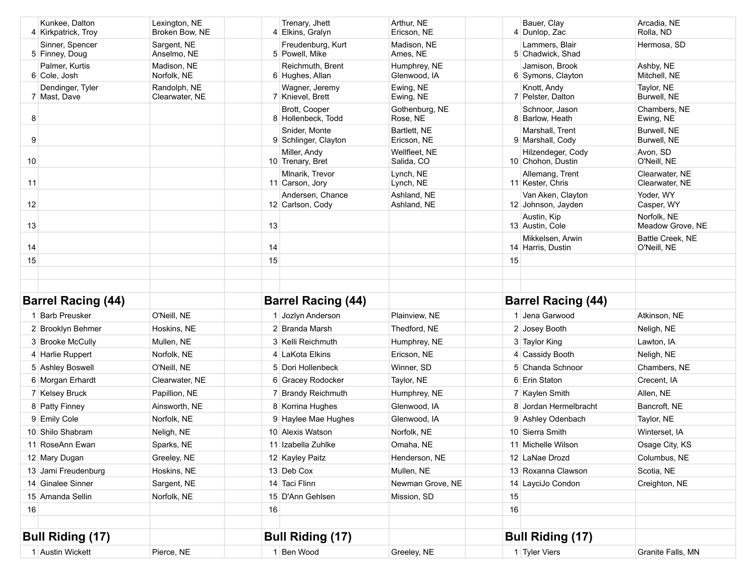|    | Kunkee. Dalton<br>4 Kirkpatrick, Troy | Lexington, NE<br>Broken Bow, NE |    | Trenary, Jhett<br>4 Elkins, Gralyn    | Arthur. NE<br>Ericson, NE    |    | Bauer, Clav<br>4 Dunlop, Zac            | Arcadia, NE<br>Rolla, ND         |
|----|---------------------------------------|---------------------------------|----|---------------------------------------|------------------------------|----|-----------------------------------------|----------------------------------|
|    | Sinner, Spencer<br>5 Finney, Doug     | Sargent, NE<br>Anselmo, NE      |    | Freudenburg, Kurt<br>5 Powell, Mike   | Madison, NE<br>Ames, NE      |    | Lammers, Blair<br>5 Chadwick, Shad      | Hermosa, SD                      |
|    | Palmer, Kurtis<br>6 Cole, Josh        | Madison, NE<br>Norfolk, NE      |    | Reichmuth, Brent<br>6 Hughes, Allan   | Humphrey, NE<br>Glenwood, IA |    | Jamison, Brook<br>6 Symons, Clayton     | Ashby, NE<br>Mitchell, NE        |
|    | Dendinger, Tyler<br>7 Mast, Dave      | Randolph, NE<br>Clearwater, NE  |    | Wagner, Jeremy<br>7 Knievel, Brett    | Ewing, NE<br>Ewing, NE       |    | Knott, Andy<br>7 Pelster, Dalton        | Taylor, NE<br>Burwell, NE        |
| 8  |                                       |                                 |    | Brott, Cooper<br>8 Hollenbeck, Todd   | Gothenburg, NE<br>Rose, NE   |    | Schnoor, Jason<br>8 Barlow, Heath       | Chambers, NE<br>Ewing, NE        |
| 9  |                                       |                                 |    | Snider, Monte<br>9 Schlinger, Clayton | Bartlett. NE<br>Ericson, NE  |    | Marshall, Trent<br>9 Marshall, Cody     | Burwell, NE<br>Burwell, NE       |
| 10 |                                       |                                 |    | Miller, Andy<br>10 Trenary, Bret      | Wellfleet, NE<br>Salida, CO  |    | Hilzendeger, Cody<br>10 Chohon, Dustin  | Avon, SD<br>O'Neill, NE          |
| 11 |                                       |                                 |    | Mlnarik, Trevor<br>11 Carson, Jory    | Lynch, NE<br>Lynch, NE       |    | Allemang, Trent<br>11 Kester, Chris     | Clearwater, NE<br>Clearwater, NE |
| 12 |                                       |                                 |    | Andersen, Chance<br>12 Carlson, Cody  | Ashland, NE<br>Ashland, NE   |    | Van Aken, Clayton<br>12 Johnson, Jayden | Yoder, WY<br>Casper, WY          |
| 13 |                                       |                                 | 13 |                                       |                              |    | Austin, Kip<br>13 Austin, Cole          | Norfolk, NE<br>Meadow Grove, NE  |
| 14 |                                       |                                 | 14 |                                       |                              |    | Mikkelsen, Arwin<br>14 Harris, Dustin   | Battle Creek, NE<br>O'Neill, NE  |
| 15 |                                       |                                 | 15 |                                       |                              | 15 |                                         |                                  |
|    |                                       |                                 |    |                                       |                              |    |                                         |                                  |
|    |                                       |                                 |    |                                       |                              |    |                                         |                                  |
|    |                                       |                                 |    |                                       |                              |    |                                         |                                  |
|    | <b>Barrel Racing (44)</b>             |                                 |    | <b>Barrel Racing (44)</b>             |                              |    | <b>Barrel Racing (44)</b>               |                                  |
|    | 1 Barb Preusker                       | O'Neill, NE                     |    | 1 Jozlyn Anderson                     | Plainview, NE                |    | 1 Jena Garwood                          | Atkinson, NE                     |
|    | 2 Brooklyn Behmer                     | Hoskins, NE                     |    | 2 Branda Marsh                        | Thedford, NE                 |    | 2 Josey Booth                           | Neligh, NE                       |
|    | 3 Brooke McCully                      | Mullen, NE                      |    | 3 Kelli Reichmuth                     | Humphrey, NE                 |    | 3 Taylor King                           | Lawton, IA                       |
|    | 4 Harlie Ruppert                      | Norfolk, NE                     |    | 4 LaKota Elkins                       | Ericson, NE                  |    | 4 Cassidy Booth                         | Neligh, NE                       |
|    | 5 Ashley Boswell                      | O'Neill, NE                     |    | 5 Dori Hollenbeck                     | Winner, SD                   |    | 5 Chanda Schnoor                        | Chambers, NE                     |
|    | 6 Morgan Erhardt                      | Clearwater, NE                  |    | 6 Gracey Rodocker                     | Taylor, NE                   |    | 6 Erin Staton                           | Crecent, IA                      |
|    | 7 Kelsey Bruck                        | Papillion, NE                   |    | 7 Brandy Reichmuth                    | Humphrey, NE                 |    | 7 Kaylen Smith                          | Allen, NE                        |
|    | 8 Patty Finney                        | Ainsworth, NE                   |    | 8 Korrina Hughes                      | Glenwood, IA                 |    | 8 Jordan Hermelbracht                   | Bancroft, NE                     |
|    | 9 Emily Cole                          | Norfolk, NE                     |    | 9 Haylee Mae Hughes                   | Glenwood, IA                 |    | 9 Ashley Odenbach                       | Taylor, NE                       |
|    | 10 Shilo Shabram                      | Neligh, NE                      |    | 10 Alexis Watson                      | Norfolk, NE                  |    | 10 Sierra Smith                         | Winterset, IA                    |
|    | 11 RoseAnn Ewan                       | Sparks, NE                      |    | 11 Izabella Zuhlke                    | Omaha, NE                    |    | 11 Michelle Wilson                      | Osage City, KS                   |
|    | 12 Mary Dugan                         | Greeley, NE                     |    | 12 Kayley Paitz                       | Henderson, NE                |    | 12 LaNae Drozd                          | Columbus, NE                     |
|    | 13 Jami Freudenburg                   | Hoskins, NE                     |    | 13 Deb Cox                            | Mullen, NE                   |    | 13 Roxanna Clawson                      | Scotia, NE                       |
|    | 14 Ginalee Sinner                     | Sargent, NE                     |    | 14 Taci Flinn                         | Newman Grove, NE             |    | 14 LayciJo Condon                       | Creighton, NE                    |
|    | 15 Amanda Sellin                      | Norfolk, NE                     |    | 15 D'Ann Gehlsen                      | Mission, SD                  | 15 |                                         |                                  |
| 16 |                                       |                                 | 16 |                                       |                              | 16 |                                         |                                  |
|    |                                       |                                 |    |                                       |                              |    |                                         |                                  |
|    | <b>Bull Riding (17)</b>               |                                 |    | <b>Bull Riding (17)</b>               |                              |    | <b>Bull Riding (17)</b>                 |                                  |